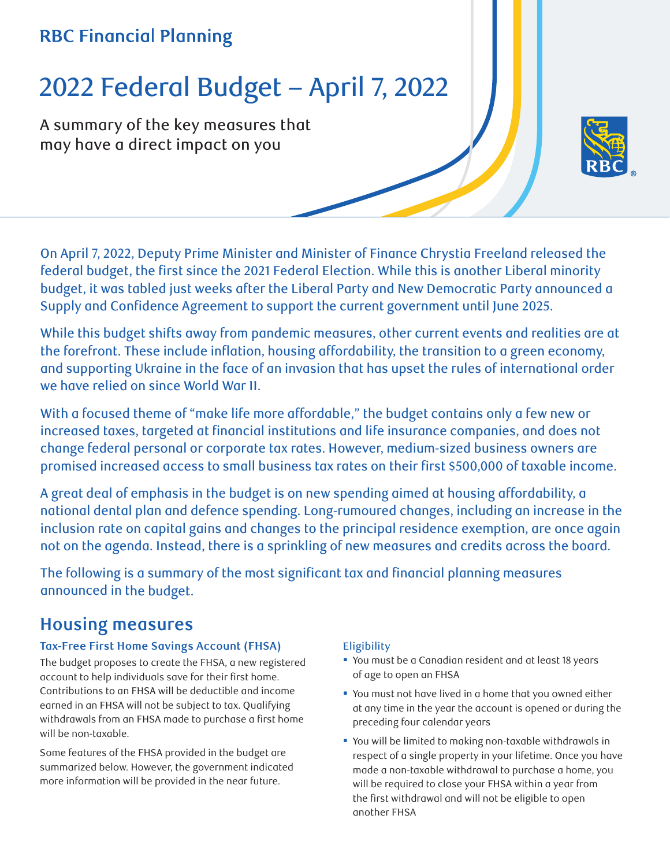# **RBC Financial Planning**

# 2022 Federal Budget – April 7, 2022

A summary of the key measures that may have a direct impact on you



On April 7, 2022, Deputy Prime Minister and Minister of Finance Chrystia Freeland released the federal budget, the first since the 2021 Federal Election. While this is another Liberal minority budget, it was tabled just weeks after the Liberal Party and New Democratic Party announced a Supply and Confidence Agreement to support the current government until June 2025.

While this budget shifts away from pandemic measures, other current events and realities are at the forefront. These include inflation, housing affordability, the transition to a green economy, and supporting Ukraine in the face of an invasion that has upset the rules of international order we have relied on since World War II.

With a focused theme of "make life more affordable," the budget contains only a few new or increased taxes, targeted at financial institutions and life insurance companies, and does not change federal personal or corporate tax rates. However, medium-sized business owners are promised increased access to small business tax rates on their first \$500,000 of taxable income.

A great deal of emphasis in the budget is on new spending aimed at housing affordability, a national dental plan and defence spending. Long-rumoured changes, including an increase in the inclusion rate on capital gains and changes to the principal residence exemption, are once again not on the agenda. Instead, there is a sprinkling of new measures and credits across the board.

The following is a summary of the most significant tax and financial planning measures announced in the budget.

# **Housing measures**

#### **Tax-Free First Home Savings Account (FHSA)**

The budget proposes to create the FHSA, a new registered account to help individuals save for their first home. Contributions to an FHSA will be deductible and income earned in an FHSA will not be subject to tax. Qualifying withdrawals from an FHSA made to purchase a first home will be non-taxable.

Some features of the FHSA provided in the budget are summarized below. However, the government indicated more information will be provided in the near future.

#### **Eligibility**

- You must be a Canadian resident and at least 18 years of age to open an FHSA
- You must not have lived in a home that you owned either at any time in the year the account is opened or during the preceding four calendar years
- You will be limited to making non-taxable withdrawals in respect of a single property in your lifetime. Once you have made a non-taxable withdrawal to purchase a home, you will be required to close your FHSA within a year from the first withdrawal and will not be eligible to open another FHSA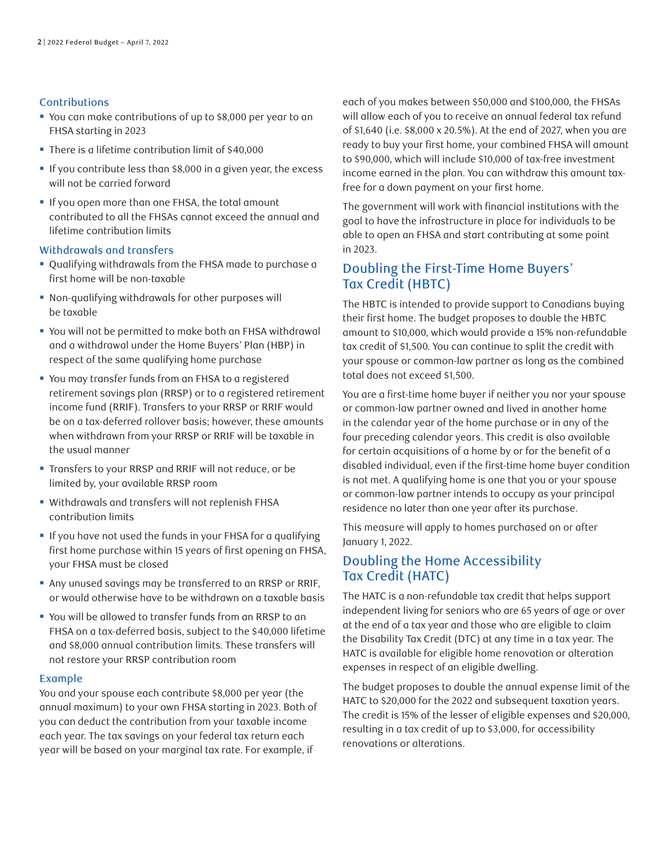#### Contributions

- You can make contributions of up to \$8,000 per year to an FHSA starting in 2023
- There is a lifetime contribution limit of \$40,000
- If you contribute less than \$8,000 in a given year, the excess will not be carried forward
- If you open more than one FHSA, the total amount contributed to all the FHSAs cannot exceed the annual and lifetime contribution limits

#### Withdrawals and transfers

- Qualifying withdrawals from the FHSA made to purchase a first home will be non-taxable
- Non-qualifying withdrawals for other purposes will be taxable
- You will not be permitted to make both an FHSA withdrawal and a withdrawal under the Home Buyers' Plan (HBP) in respect of the same qualifying home purchase
- You may transfer funds from an FHSA to a registered retirement savings plan (RRSP) or to a registered retirement income fund (RRIF). Transfers to your RRSP or RRIF would be on a tax-deferred rollover basis; however, these amounts when withdrawn from your RRSP or RRIF will be taxable in the usual manner
- Transfers to your RRSP and RRIF will not reduce, or be limited by, your available RRSP room
- Withdrawals and transfers will not replenish FHSA contribution limits
- If you have not used the funds in your FHSA for a qualifying first home purchase within 15 years of first opening an FHSA, your FHSA must be closed
- Any unused savings may be transferred to an RRSP or RRIF, or would otherwise have to be withdrawn on a taxable basis
- You will be allowed to transfer funds from an RRSP to an FHSA on a tax-deferred basis, subject to the \$40,000 lifetime and \$8,000 annual contribution limits. These transfers will not restore your RRSP contribution room

#### Example

You and your spouse each contribute \$8,000 per year (the annual maximum) to your own FHSA starting in 2023. Both of you can deduct the contribution from your taxable income each year. The tax savings on your federal tax return each year will be based on your marginal tax rate. For example, if

each of you makes between \$50,000 and \$100,000, the FHSAs will allow each of you to receive an annual federal tax refund of \$1,640 (i.e. \$8,000 x 20.5%). At the end of 2027, when you are ready to buy your first home, your combined FHSA will amount to \$90,000, which will include \$10,000 of tax-free investment income earned in the plan. You can withdraw this amount taxfree for a down payment on your first home.

The government will work with financial institutions with the goal to have the infrastructure in place for individuals to be able to open an FHSA and start contributing at some point in 2023.

#### Doubling the First-Time Home Buyers' Tax Credit (HBTC)

The HBTC is intended to provide support to Canadians buying their first home. The budget proposes to double the HBTC amount to \$10,000, which would provide a 15% non-refundable tax credit of \$1,500. You can continue to split the credit with your spouse or common-law partner as long as the combined total does not exceed \$1,500.

You are a first-time home buyer if neither you nor your spouse or common-law partner owned and lived in another home in the calendar year of the home purchase or in any of the four preceding calendar years. This credit is also available for certain acquisitions of a home by or for the benefit of a disabled individual, even if the first-time home buyer condition is not met. A qualifying home is one that you or your spouse or common-law partner intends to occupy as your principal residence no later than one year after its purchase.

This measure will apply to homes purchased on or after January 1, 2022.

#### Doubling the Home Accessibility Tax Credit (HATC)

The HATC is a non-refundable tax credit that helps support independent living for seniors who are 65 years of age or over at the end of a tax year and those who are eligible to claim the Disability Tax Credit (DTC) at any time in a tax year. The HATC is available for eligible home renovation or alteration expenses in respect of an eligible dwelling.

The budget proposes to double the annual expense limit of the HATC to \$20,000 for the 2022 and subsequent taxation years. The credit is 15% of the lesser of eligible expenses and \$20,000, resulting in a tax credit of up to \$3,000, for accessibility renovations or alterations.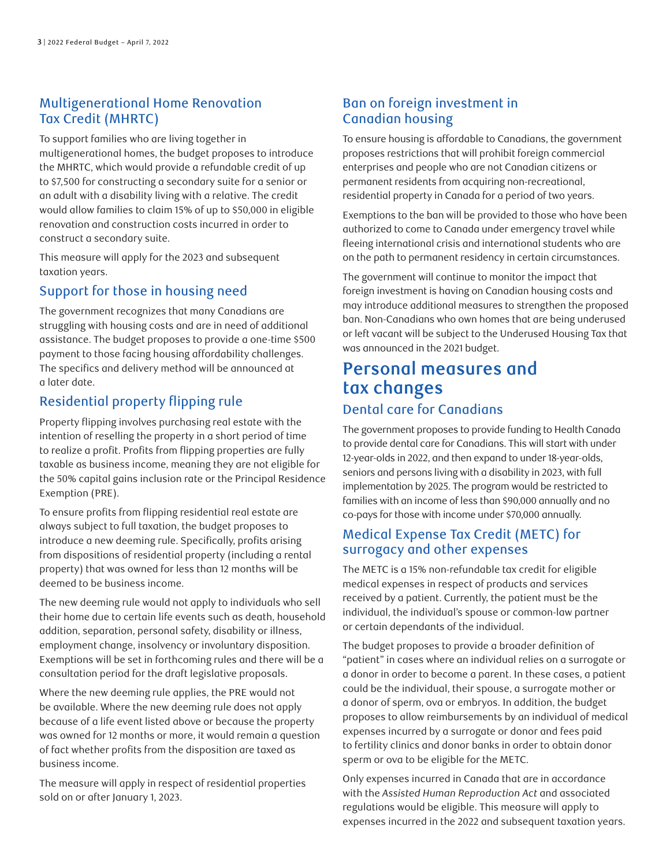#### Multigenerational Home Renovation Tax Credit (MHRTC)

To support families who are living together in multigenerational homes, the budget proposes to introduce the MHRTC, which would provide a refundable credit of up to \$7,500 for constructing a secondary suite for a senior or an adult with a disability living with a relative. The credit would allow families to claim 15% of up to \$50,000 in eligible renovation and construction costs incurred in order to construct a secondary suite.

This measure will apply for the 2023 and subsequent taxation years.

#### Support for those in housing need

The government recognizes that many Canadians are struggling with housing costs and are in need of additional assistance. The budget proposes to provide a one-time \$500 payment to those facing housing affordability challenges. The specifics and delivery method will be announced at a later date.

# Residential property flipping rule

Property flipping involves purchasing real estate with the intention of reselling the property in a short period of time to realize a profit. Profits from flipping properties are fully taxable as business income, meaning they are not eligible for the 50% capital gains inclusion rate or the Principal Residence Exemption (PRE).

To ensure profits from flipping residential real estate are always subject to full taxation, the budget proposes to introduce a new deeming rule. Specifically, profits arising from dispositions of residential property (including a rental property) that was owned for less than 12 months will be deemed to be business income.

The new deeming rule would not apply to individuals who sell their home due to certain life events such as death, household addition, separation, personal safety, disability or illness, employment change, insolvency or involuntary disposition. Exemptions will be set in forthcoming rules and there will be a consultation period for the draft legislative proposals.

Where the new deeming rule applies, the PRE would not be available. Where the new deeming rule does not apply because of a life event listed above or because the property was owned for 12 months or more, it would remain a question of fact whether profits from the disposition are taxed as business income.

The measure will apply in respect of residential properties sold on or after January 1, 2023.

# Ban on foreign investment in Canadian housing

To ensure housing is affordable to Canadians, the government proposes restrictions that will prohibit foreign commercial enterprises and people who are not Canadian citizens or permanent residents from acquiring non-recreational, residential property in Canada for a period of two years.

Exemptions to the ban will be provided to those who have been authorized to come to Canada under emergency travel while fleeing international crisis and international students who are on the path to permanent residency in certain circumstances.

The government will continue to monitor the impact that foreign investment is having on Canadian housing costs and may introduce additional measures to strengthen the proposed ban. Non-Canadians who own homes that are being underused or left vacant will be subject to the Underused Housing Tax that was announced in the 2021 budget.

# **Personal measures and tax changes**

# Dental care for Canadians

The government proposes to provide funding to Health Canada to provide dental care for Canadians. This will start with under 12-year-olds in 2022, and then expand to under 18-year-olds, seniors and persons living with a disability in 2023, with full implementation by 2025. The program would be restricted to families with an income of less than \$90,000 annually and no co-pays for those with income under \$70,000 annually.

# Medical Expense Tax Credit (METC) for surrogacy and other expenses

The METC is a 15% non-refundable tax credit for eligible medical expenses in respect of products and services received by a patient. Currently, the patient must be the individual, the individual's spouse or common-law partner or certain dependants of the individual.

The budget proposes to provide a broader definition of "patient" in cases where an individual relies on a surrogate or a donor in order to become a parent. In these cases, a patient could be the individual, their spouse, a surrogate mother or a donor of sperm, ova or embryos. In addition, the budget proposes to allow reimbursements by an individual of medical expenses incurred by a surrogate or donor and fees paid to fertility clinics and donor banks in order to obtain donor sperm or ova to be eligible for the METC.

Only expenses incurred in Canada that are in accordance with the *Assisted Human Reproduction Act* and associated regulations would be eligible. This measure will apply to expenses incurred in the 2022 and subsequent taxation years.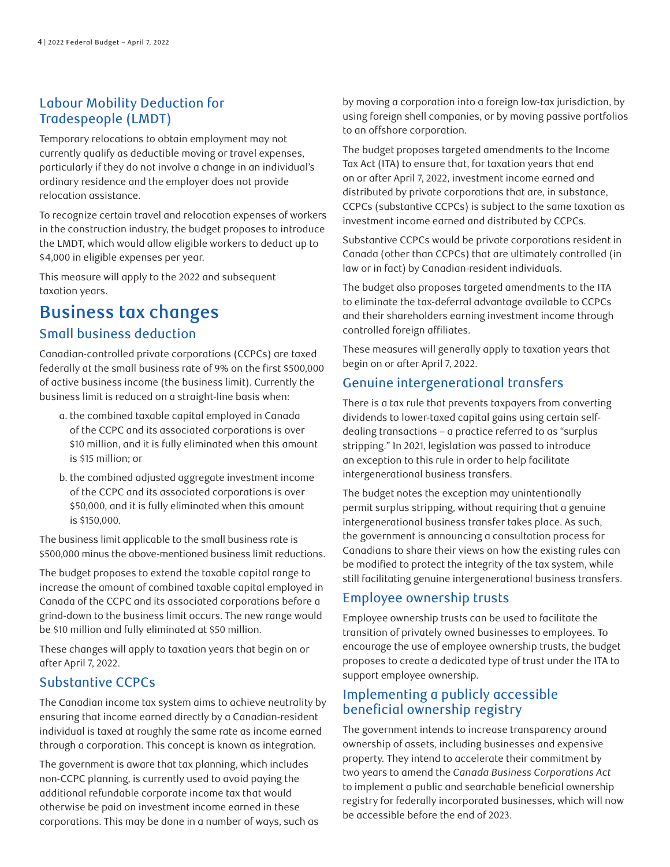# Labour Mobility Deduction for Tradespeople (LMDT)

Temporary relocations to obtain employment may not currently qualify as deductible moving or travel expenses, particularly if they do not involve a change in an individual's ordinary residence and the employer does not provide relocation assistance.

To recognize certain travel and relocation expenses of workers in the construction industry, the budget proposes to introduce the LMDT, which would allow eligible workers to deduct up to \$4,000 in eligible expenses per year.

This measure will apply to the 2022 and subsequent taxation years.

# **Business tax changes** Small business deduction

Canadian-controlled private corporations (CCPCs) are taxed federally at the small business rate of 9% on the first \$500,000 of active business income (the business limit). Currently the business limit is reduced on a straight-line basis when:

- a. the combined taxable capital employed in Canada of the CCPC and its associated corporations is over \$10 million, and it is fully eliminated when this amount is \$15 million; or
- b. the combined adjusted aggregate investment income of the CCPC and its associated corporations is over \$50,000, and it is fully eliminated when this amount is \$150,000.

The business limit applicable to the small business rate is \$500,000 minus the above-mentioned business limit reductions.

The budget proposes to extend the taxable capital range to increase the amount of combined taxable capital employed in Canada of the CCPC and its associated corporations before a grind-down to the business limit occurs. The new range would be \$10 million and fully eliminated at \$50 million.

These changes will apply to taxation years that begin on or after April 7, 2022.

# Substantive CCPCs

The Canadian income tax system aims to achieve neutrality by ensuring that income earned directly by a Canadian-resident individual is taxed at roughly the same rate as income earned through a corporation. This concept is known as integration.

The government is aware that tax planning, which includes non-CCPC planning, is currently used to avoid paying the additional refundable corporate income tax that would otherwise be paid on investment income earned in these corporations. This may be done in a number of ways, such as by moving a corporation into a foreign low-tax jurisdiction, by using foreign shell companies, or by moving passive portfolios to an offshore corporation.

The budget proposes targeted amendments to the Income Tax Act (ITA) to ensure that, for taxation years that end on or after April 7, 2022, investment income earned and distributed by private corporations that are, in substance, CCPCs (substantive CCPCs) is subject to the same taxation as investment income earned and distributed by CCPCs.

Substantive CCPCs would be private corporations resident in Canada (other than CCPCs) that are ultimately controlled (in law or in fact) by Canadian-resident individuals.

The budget also proposes targeted amendments to the ITA to eliminate the tax-deferral advantage available to CCPCs and their shareholders earning investment income through controlled foreign affiliates.

These measures will generally apply to taxation years that begin on or after April 7, 2022.

#### Genuine intergenerational transfers

There is a tax rule that prevents taxpayers from converting dividends to lower-taxed capital gains using certain selfdealing transactions – a practice referred to as "surplus stripping." In 2021, legislation was passed to introduce an exception to this rule in order to help facilitate intergenerational business transfers.

The budget notes the exception may unintentionally permit surplus stripping, without requiring that a genuine intergenerational business transfer takes place. As such, the government is announcing a consultation process for Canadians to share their views on how the existing rules can be modified to protect the integrity of the tax system, while still facilitating genuine intergenerational business transfers.

#### Employee ownership trusts

Employee ownership trusts can be used to facilitate the transition of privately owned businesses to employees. To encourage the use of employee ownership trusts, the budget proposes to create a dedicated type of trust under the ITA to support employee ownership.

# Implementing a publicly accessible beneficial ownership registry

The government intends to increase transparency around ownership of assets, including businesses and expensive property. They intend to accelerate their commitment by two years to amend the *Canada Business Corporations Act* to implement a public and searchable beneficial ownership registry for federally incorporated businesses, which will now be accessible before the end of 2023.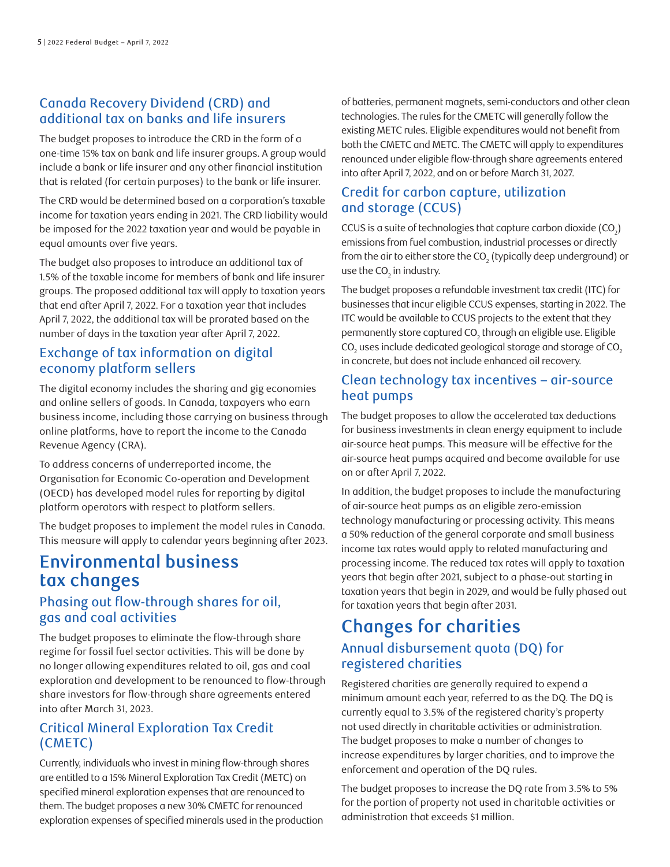#### Canada Recovery Dividend (CRD) and additional tax on banks and life insurers

The budget proposes to introduce the CRD in the form of a one-time 15% tax on bank and life insurer groups. A group would include a bank or life insurer and any other financial institution that is related (for certain purposes) to the bank or life insurer.

The CRD would be determined based on a corporation's taxable income for taxation years ending in 2021. The CRD liability would be imposed for the 2022 taxation year and would be payable in equal amounts over five years.

The budget also proposes to introduce an additional tax of 1.5% of the taxable income for members of bank and life insurer groups. The proposed additional tax will apply to taxation years that end after April 7, 2022. For a taxation year that includes April 7, 2022, the additional tax will be prorated based on the number of days in the taxation year after April 7, 2022.

#### Exchange of tax information on digital economy platform sellers

The digital economy includes the sharing and gig economies and online sellers of goods. In Canada, taxpayers who earn business income, including those carrying on business through online platforms, have to report the income to the Canada Revenue Agency (CRA).

To address concerns of underreported income, the Organisation for Economic Co-operation and Development (OECD) has developed model rules for reporting by digital platform operators with respect to platform sellers.

The budget proposes to implement the model rules in Canada. This measure will apply to calendar years beginning after 2023.

# **Environmental business tax changes**

# Phasing out flow-through shares for oil, gas and coal activities

The budget proposes to eliminate the flow-through share regime for fossil fuel sector activities. This will be done by no longer allowing expenditures related to oil, gas and coal exploration and development to be renounced to flow-through share investors for flow-through share agreements entered into after March 31, 2023.

# Critical Mineral Exploration Tax Credit (CMETC)

Currently, individuals who invest in mining flow-through shares are entitled to a 15% Mineral Exploration Tax Credit (METC) on specified mineral exploration expenses that are renounced to them. The budget proposes a new 30% CMETC for renounced exploration expenses of specified minerals used in the production of batteries, permanent magnets, semi-conductors and other clean technologies. The rules for the CMETC will generally follow the existing METC rules. Eligible expenditures would not benefit from both the CMETC and METC. The CMETC will apply to expenditures renounced under eligible flow-through share agreements entered into after April 7, 2022, and on or before March 31, 2027.

# Credit for carbon capture, utilization and storage (CCUS)

CCUS is a suite of technologies that capture carbon dioxide (CO $_2$ ) emissions from fuel combustion, industrial processes or directly from the air to either store the CO $_{\textrm{\tiny{2}}}$  (typically deep underground) or use the CO $_{2}$  in industry.

The budget proposes a refundable investment tax credit (ITC) for businesses that incur eligible CCUS expenses, starting in 2022. The ITC would be available to CCUS projects to the extent that they permanently store captured CO $_{\textrm{\tiny{2}}}$ through an eligible use. Eligible CO $_{\textrm{\tiny{2}}}$  uses include dedicated geological storage and storage of CO $_{\textrm{\tiny{2}}}$ in concrete, but does not include enhanced oil recovery.

#### Clean technology tax incentives – air-source heat pumps

The budget proposes to allow the accelerated tax deductions for business investments in clean energy equipment to include air-source heat pumps. This measure will be effective for the air-source heat pumps acquired and become available for use on or after April 7, 2022.

In addition, the budget proposes to include the manufacturing of air-source heat pumps as an eligible zero-emission technology manufacturing or processing activity. This means a 50% reduction of the general corporate and small business income tax rates would apply to related manufacturing and processing income. The reduced tax rates will apply to taxation years that begin after 2021, subject to a phase-out starting in taxation years that begin in 2029, and would be fully phased out for taxation years that begin after 2031.

# **Changes for charities**  Annual disbursement quota (DQ) for registered charities

Registered charities are generally required to expend a minimum amount each year, referred to as the DQ. The DQ is currently equal to 3.5% of the registered charity's property not used directly in charitable activities or administration. The budget proposes to make a number of changes to increase expenditures by larger charities, and to improve the enforcement and operation of the DQ rules.

The budget proposes to increase the DQ rate from 3.5% to 5% for the portion of property not used in charitable activities or administration that exceeds \$1 million.